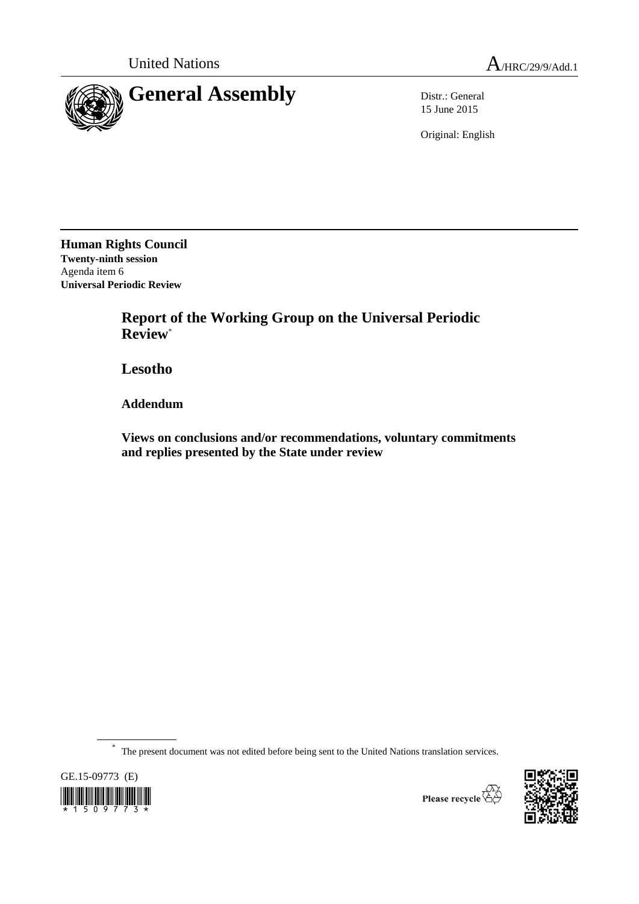

15 June 2015

Original: English

**Human Rights Council Twenty-ninth session** Agenda item 6 **Universal Periodic Review**

> **Report of the Working Group on the Universal Periodic Review**\*

**Lesotho**

**Addendum**

**Views on conclusions and/or recommendations, voluntary commitments and replies presented by the State under review**

\* The present document was not edited before being sent to the United Nations translation services.

GE.15-09773 (E) 

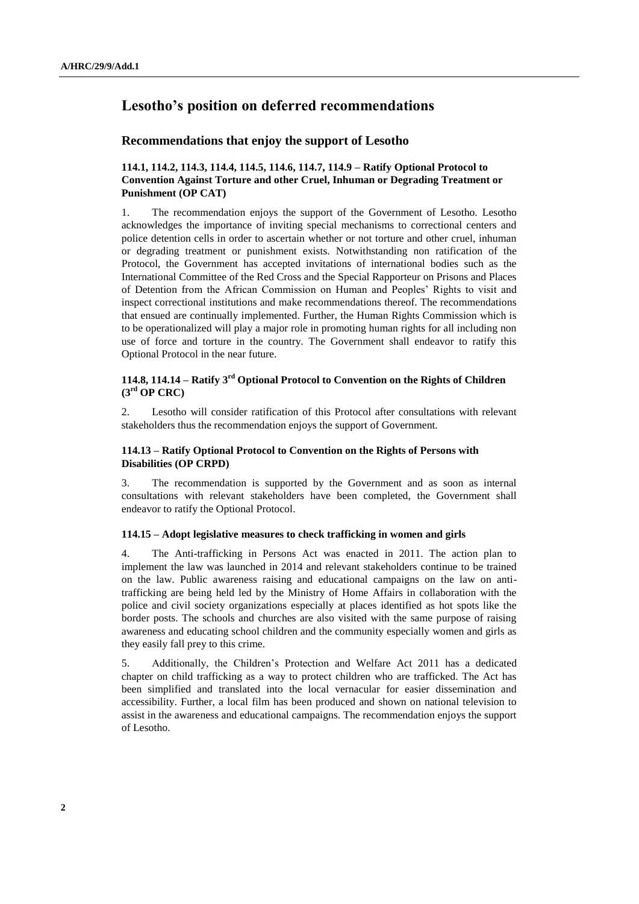# **Lesotho's position on deferred recommendations**

## **Recommendations that enjoy the support of Lesotho**

# **114.1, 114.2, 114.3, 114.4, 114.5, 114.6, 114.7, 114.9 – Ratify Optional Protocol to Convention Against Torture and other Cruel, Inhuman or Degrading Treatment or Punishment (OP CAT)**

1. The recommendation enjoys the support of the Government of Lesotho. Lesotho acknowledges the importance of inviting special mechanisms to correctional centers and police detention cells in order to ascertain whether or not torture and other cruel, inhuman or degrading treatment or punishment exists. Notwithstanding non ratification of the Protocol, the Government has accepted invitations of international bodies such as the International Committee of the Red Cross and the Special Rapporteur on Prisons and Places of Detention from the African Commission on Human and Peoples' Rights to visit and inspect correctional institutions and make recommendations thereof. The recommendations that ensued are continually implemented. Further, the Human Rights Commission which is to be operationalized will play a major role in promoting human rights for all including non use of force and torture in the country. The Government shall endeavor to ratify this Optional Protocol in the near future.

# **114.8, 114.14 – Ratify 3rd Optional Protocol to Convention on the Rights of Children (3rd OP CRC)**

2. Lesotho will consider ratification of this Protocol after consultations with relevant stakeholders thus the recommendation enjoys the support of Government.

#### **114.13 – Ratify Optional Protocol to Convention on the Rights of Persons with Disabilities (OP CRPD)**

3. The recommendation is supported by the Government and as soon as internal consultations with relevant stakeholders have been completed, the Government shall endeavor to ratify the Optional Protocol.

#### **114.15 – Adopt legislative measures to check trafficking in women and girls**

4. The Anti-trafficking in Persons Act was enacted in 2011. The action plan to implement the law was launched in 2014 and relevant stakeholders continue to be trained on the law. Public awareness raising and educational campaigns on the law on antitrafficking are being held led by the Ministry of Home Affairs in collaboration with the police and civil society organizations especially at places identified as hot spots like the border posts. The schools and churches are also visited with the same purpose of raising awareness and educating school children and the community especially women and girls as they easily fall prey to this crime.

5. Additionally, the Children's Protection and Welfare Act 2011 has a dedicated chapter on child trafficking as a way to protect children who are trafficked. The Act has been simplified and translated into the local vernacular for easier dissemination and accessibility. Further, a local film has been produced and shown on national television to assist in the awareness and educational campaigns. The recommendation enjoys the support of Lesotho.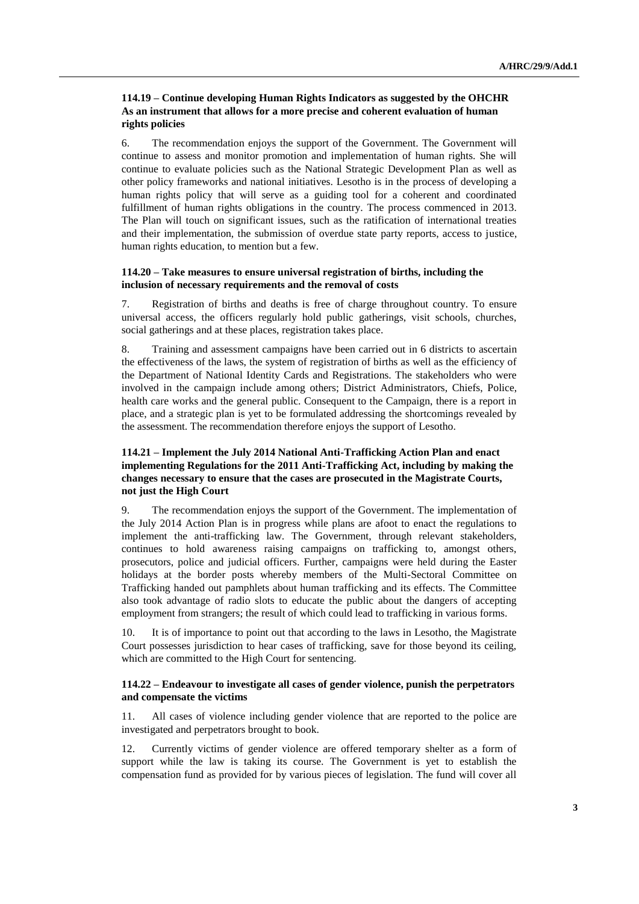## **114.19 – Continue developing Human Rights Indicators as suggested by the OHCHR As an instrument that allows for a more precise and coherent evaluation of human rights policies**

6. The recommendation enjoys the support of the Government. The Government will continue to assess and monitor promotion and implementation of human rights. She will continue to evaluate policies such as the National Strategic Development Plan as well as other policy frameworks and national initiatives. Lesotho is in the process of developing a human rights policy that will serve as a guiding tool for a coherent and coordinated fulfillment of human rights obligations in the country. The process commenced in 2013. The Plan will touch on significant issues, such as the ratification of international treaties and their implementation, the submission of overdue state party reports, access to justice, human rights education, to mention but a few.

#### **114.20 – Take measures to ensure universal registration of births, including the inclusion of necessary requirements and the removal of costs**

7. Registration of births and deaths is free of charge throughout country. To ensure universal access, the officers regularly hold public gatherings, visit schools, churches, social gatherings and at these places, registration takes place.

8. Training and assessment campaigns have been carried out in 6 districts to ascertain the effectiveness of the laws, the system of registration of births as well as the efficiency of the Department of National Identity Cards and Registrations. The stakeholders who were involved in the campaign include among others; District Administrators, Chiefs, Police, health care works and the general public. Consequent to the Campaign, there is a report in place, and a strategic plan is yet to be formulated addressing the shortcomings revealed by the assessment. The recommendation therefore enjoys the support of Lesotho.

# **114.21 – Implement the July 2014 National Anti-Trafficking Action Plan and enact implementing Regulations for the 2011 Anti-Trafficking Act, including by making the changes necessary to ensure that the cases are prosecuted in the Magistrate Courts, not just the High Court**

9. The recommendation enjoys the support of the Government. The implementation of the July 2014 Action Plan is in progress while plans are afoot to enact the regulations to implement the anti-trafficking law. The Government, through relevant stakeholders, continues to hold awareness raising campaigns on trafficking to, amongst others, prosecutors, police and judicial officers. Further, campaigns were held during the Easter holidays at the border posts whereby members of the Multi-Sectoral Committee on Trafficking handed out pamphlets about human trafficking and its effects. The Committee also took advantage of radio slots to educate the public about the dangers of accepting employment from strangers; the result of which could lead to trafficking in various forms.

10. It is of importance to point out that according to the laws in Lesotho, the Magistrate Court possesses jurisdiction to hear cases of trafficking, save for those beyond its ceiling, which are committed to the High Court for sentencing.

## **114.22 – Endeavour to investigate all cases of gender violence, punish the perpetrators and compensate the victims**

11. All cases of violence including gender violence that are reported to the police are investigated and perpetrators brought to book.

12. Currently victims of gender violence are offered temporary shelter as a form of support while the law is taking its course. The Government is yet to establish the compensation fund as provided for by various pieces of legislation. The fund will cover all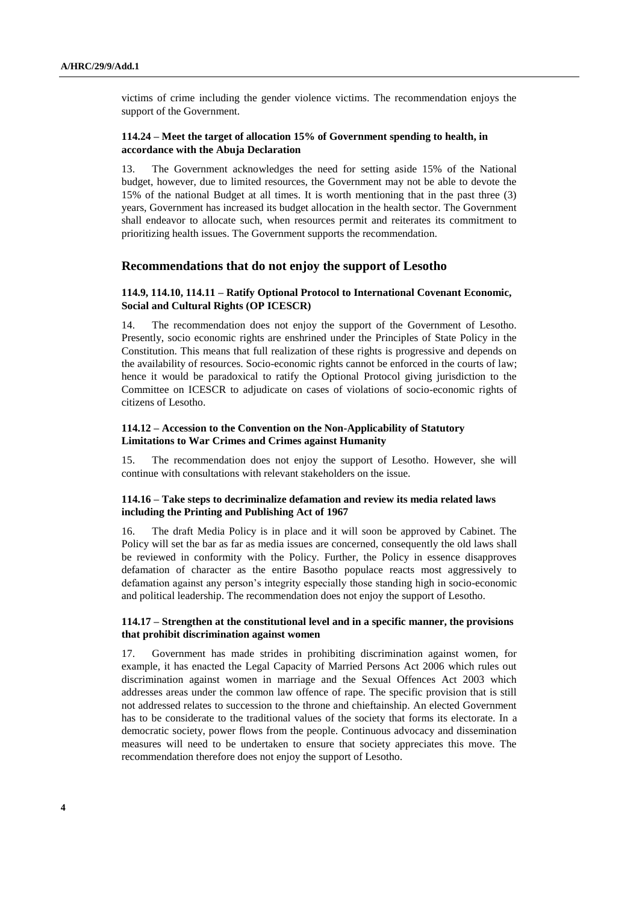victims of crime including the gender violence victims. The recommendation enjoys the support of the Government.

# **114.24 – Meet the target of allocation 15% of Government spending to health, in accordance with the Abuja Declaration**

13. The Government acknowledges the need for setting aside 15% of the National budget, however, due to limited resources, the Government may not be able to devote the 15% of the national Budget at all times. It is worth mentioning that in the past three (3) years, Government has increased its budget allocation in the health sector. The Government shall endeavor to allocate such, when resources permit and reiterates its commitment to prioritizing health issues. The Government supports the recommendation.

# **Recommendations that do not enjoy the support of Lesotho**

#### **114.9, 114.10, 114.11 – Ratify Optional Protocol to International Covenant Economic, Social and Cultural Rights (OP ICESCR)**

14. The recommendation does not enjoy the support of the Government of Lesotho. Presently, socio economic rights are enshrined under the Principles of State Policy in the Constitution. This means that full realization of these rights is progressive and depends on the availability of resources. Socio-economic rights cannot be enforced in the courts of law; hence it would be paradoxical to ratify the Optional Protocol giving jurisdiction to the Committee on ICESCR to adjudicate on cases of violations of socio-economic rights of citizens of Lesotho.

# **114.12 – Accession to the Convention on the Non-Applicability of Statutory Limitations to War Crimes and Crimes against Humanity**

15. The recommendation does not enjoy the support of Lesotho. However, she will continue with consultations with relevant stakeholders on the issue.

# **114.16 – Take steps to decriminalize defamation and review its media related laws including the Printing and Publishing Act of 1967**

16. The draft Media Policy is in place and it will soon be approved by Cabinet. The Policy will set the bar as far as media issues are concerned, consequently the old laws shall be reviewed in conformity with the Policy. Further, the Policy in essence disapproves defamation of character as the entire Basotho populace reacts most aggressively to defamation against any person's integrity especially those standing high in socio-economic and political leadership. The recommendation does not enjoy the support of Lesotho.

#### **114.17 – Strengthen at the constitutional level and in a specific manner, the provisions that prohibit discrimination against women**

17. Government has made strides in prohibiting discrimination against women, for example, it has enacted the Legal Capacity of Married Persons Act 2006 which rules out discrimination against women in marriage and the Sexual Offences Act 2003 which addresses areas under the common law offence of rape. The specific provision that is still not addressed relates to succession to the throne and chieftainship. An elected Government has to be considerate to the traditional values of the society that forms its electorate. In a democratic society, power flows from the people. Continuous advocacy and dissemination measures will need to be undertaken to ensure that society appreciates this move. The recommendation therefore does not enjoy the support of Lesotho.